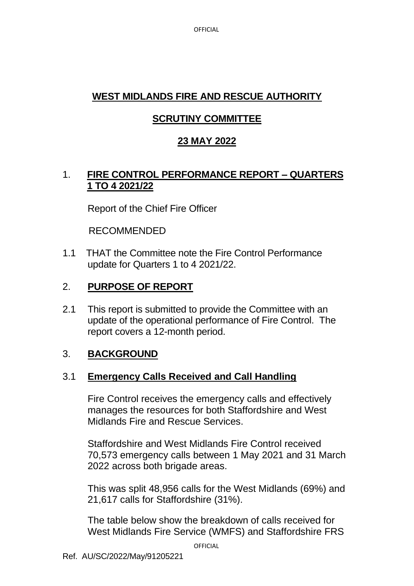**OFFICIAL** 

# **WEST MIDLANDS FIRE AND RESCUE AUTHORITY**

# **SCRUTINY COMMITTEE**

## **23 MAY 2022**

### 1. **FIRE CONTROL PERFORMANCE REPORT – QUARTERS 1 TO 4 2021/22**

Report of the Chief Fire Officer

#### RECOMMENDED

1.1 THAT the Committee note the Fire Control Performance update for Quarters 1 to 4 2021/22.

### 2. **PURPOSE OF REPORT**

2.1 This report is submitted to provide the Committee with an update of the operational performance of Fire Control. The report covers a 12-month period.

#### 3. **BACKGROUND**

#### 3.1 **Emergency Calls Received and Call Handling**

Fire Control receives the emergency calls and effectively manages the resources for both Staffordshire and West Midlands Fire and Rescue Services.

Staffordshire and West Midlands Fire Control received 70,573 emergency calls between 1 May 2021 and 31 March 2022 across both brigade areas.

This was split 48,956 calls for the West Midlands (69%) and 21,617 calls for Staffordshire (31%).

The table below show the breakdown of calls received for West Midlands Fire Service (WMFS) and Staffordshire FRS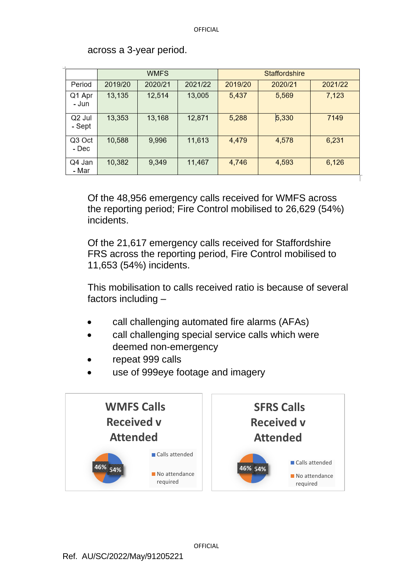|                  | <b>WMFS</b> |         |         | Staffordshire |         |         |  |
|------------------|-------------|---------|---------|---------------|---------|---------|--|
| Period           | 2019/20     | 2020/21 | 2021/22 | 2019/20       | 2020/21 | 2021/22 |  |
| Q1 Apr<br>- Jun  | 13,135      | 12,514  | 13,005  | 5,437         | 5,569   | 7,123   |  |
| Q2 Jul<br>- Sept | 13,353      | 13,168  | 12,871  | 5,288         | 5,330   | 7149    |  |
| Q3 Oct<br>- Dec  | 10,588      | 9,996   | 11,613  | 4,479         | 4,578   | 6,231   |  |
| Q4 Jan<br>- Mar  | 10,382      | 9,349   | 11,467  | 4,746         | 4,593   | 6,126   |  |

across a 3-year period.

Of the 48,956 emergency calls received for WMFS across the reporting period; Fire Control mobilised to 26,629 (54%) incidents.

Of the 21,617 emergency calls received for Staffordshire FRS across the reporting period, Fire Control mobilised to 11,653 (54%) incidents.

This mobilisation to calls received ratio is because of several factors including –

- call challenging automated fire alarms (AFAs)
- call challenging special service calls which were deemed non-emergency
- repeat 999 calls
- use of 999eye footage and imagery



**OFFICIAL**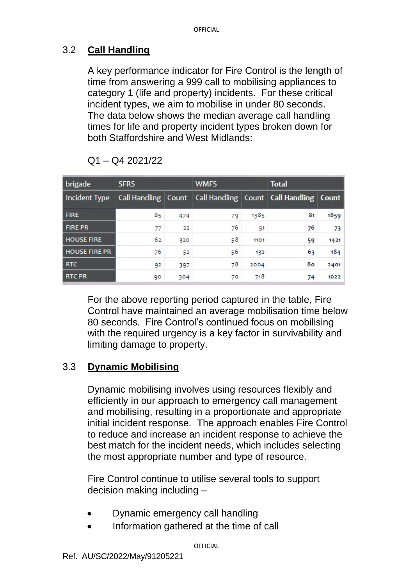### 3.2 **Call Handling**

A key performance indicator for Fire Control is the length of time from answering a 999 call to mobilising appliances to category 1 (life and property) incidents. For these critical incident types, we aim to mobilise in under 80 seconds. The data below shows the median average call handling times for life and property incident types broken down for both Staffordshire and West Midlands:

| brigade              | <b>SFRS</b> |     | <b>WMFS</b> |      | <b>Total</b>                                                          |      |
|----------------------|-------------|-----|-------------|------|-----------------------------------------------------------------------|------|
| Incident Type        |             |     |             |      | Call Handling   Count   Call Handling   Count   Call Handling   Count |      |
| <b>FIRE</b>          | 85          | 474 | 79          | 1385 | 81                                                                    | 1859 |
| <b>FIRE PR</b>       | 77          | 22  | 76          | 51   | 76                                                                    | 73.  |
| <b>HOUSE FIRE</b>    | 62          | 320 | 58          | 1101 | 59                                                                    | 1421 |
| <b>HOUSE FIRE PR</b> | 76          | 52  | 56          | 132  | 63                                                                    | 184  |
| <b>RTC</b>           | 92          | 397 | 78          | 2004 | 80                                                                    | 2401 |
| <b>RTC PR</b>        | 90          | 304 | 70          | 718  | 74                                                                    | 1022 |

Q1 – Q4 2021/22

For the above reporting period captured in the table, Fire Control have maintained an average mobilisation time below 80 seconds. Fire Control's continued focus on mobilising with the required urgency is a key factor in survivability and limiting damage to property.

#### 3.3 **Dynamic Mobilising**

Dynamic mobilising involves using resources flexibly and efficiently in our approach to emergency call management and mobilising, resulting in a proportionate and appropriate initial incident response. The approach enables Fire Control to reduce and increase an incident response to achieve the best match for the incident needs, which includes selecting the most appropriate number and type of resource.

Fire Control continue to utilise several tools to support decision making including –

- Dynamic emergency call handling
- Information gathered at the time of call

**OFFICIAL**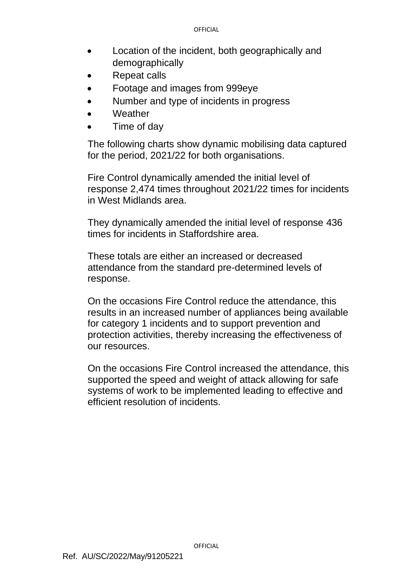- Location of the incident, both geographically and demographically
- Repeat calls
- Footage and images from 999eye
- Number and type of incidents in progress
- **Weather**
- Time of day

The following charts show dynamic mobilising data captured for the period, 2021/22 for both organisations.

Fire Control dynamically amended the initial level of response 2,474 times throughout 2021/22 times for incidents in West Midlands area.

They dynamically amended the initial level of response 436 times for incidents in Staffordshire area.

These totals are either an increased or decreased attendance from the standard pre-determined levels of response.

On the occasions Fire Control reduce the attendance, this results in an increased number of appliances being available for category 1 incidents and to support prevention and protection activities, thereby increasing the effectiveness of our resources.

On the occasions Fire Control increased the attendance, this supported the speed and weight of attack allowing for safe systems of work to be implemented leading to effective and efficient resolution of incidents.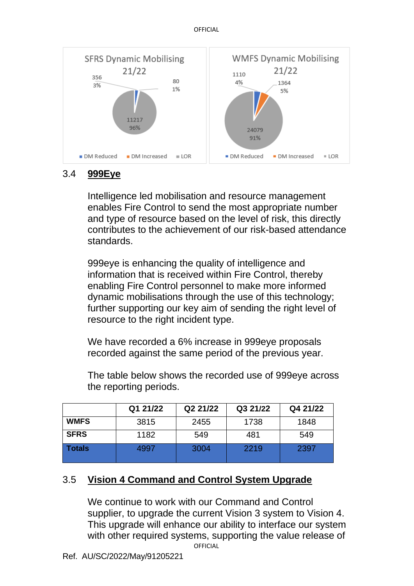

## 3.4 **999Eye**

Intelligence led mobilisation and resource management enables Fire Control to send the most appropriate number and type of resource based on the level of risk, this directly contributes to the achievement of our risk-based attendance standards.

999eye is enhancing the quality of intelligence and information that is received within Fire Control, thereby enabling Fire Control personnel to make more informed dynamic mobilisations through the use of this technology; further supporting our key aim of sending the right level of resource to the right incident type.

We have recorded a 6% increase in 999eye proposals recorded against the same period of the previous year.

The table below shows the recorded use of 999eye across the reporting periods.

|             | Q1 21/22 | Q2 21/22 | Q3 21/22 | Q4 21/22 |
|-------------|----------|----------|----------|----------|
| <b>WMFS</b> | 3815     | 2455     | 1738     | 1848     |
| <b>SFRS</b> | 1182     | 549      | 481      | 549      |
| Totals      | 4997     | 3004     | 2219     | 2397     |

## 3.5 **Vision 4 Command and Control System Upgrade**

**OFFICIAL** We continue to work with our Command and Control supplier, to upgrade the current Vision 3 system to Vision 4. This upgrade will enhance our ability to interface our system with other required systems, supporting the value release of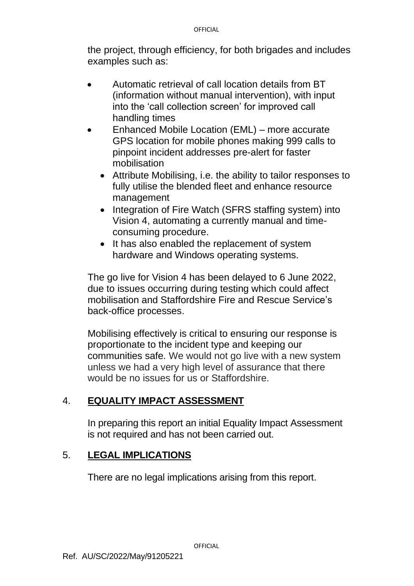the project, through efficiency, for both brigades and includes examples such as:

- Automatic retrieval of call location details from BT (information without manual intervention), with input into the 'call collection screen' for improved call handling times
- Enhanced Mobile Location (EML) more accurate GPS location for mobile phones making 999 calls to pinpoint incident addresses pre-alert for faster mobilisation
	- Attribute Mobilising, i.e. the ability to tailor responses to fully utilise the blended fleet and enhance resource management
	- Integration of Fire Watch (SFRS staffing system) into Vision 4, automating a currently manual and timeconsuming procedure.
	- It has also enabled the replacement of system hardware and Windows operating systems.

The go live for Vision 4 has been delayed to 6 June 2022, due to issues occurring during testing which could affect mobilisation and Staffordshire Fire and Rescue Service's back-office processes.

Mobilising effectively is critical to ensuring our response is proportionate to the incident type and keeping our communities safe. We would not go live with a new system unless we had a very high level of assurance that there would be no issues for us or Staffordshire.

## 4. **EQUALITY IMPACT ASSESSMENT**

In preparing this report an initial Equality Impact Assessment is not required and has not been carried out.

## 5. **LEGAL IMPLICATIONS**

There are no legal implications arising from this report.